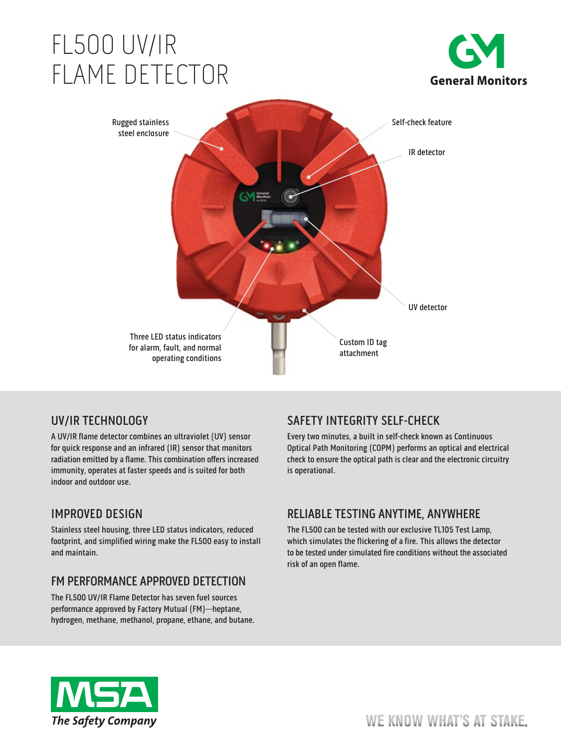# FL500 UV/IR FLAME DETECTOR





# UV/IR TECHNOLOGY

A UV/IR flame detector combines an ultraviolet (UV) sensor for quick response and an infrared (IR) sensor that monitors radiation emitted by a flame. This combination offers increased immunity, operates at faster speeds and is suited for both indoor and outdoor use.

# IMPROVED DESIGN

Stainless steel housing, three LED status indicators, reduced footprint, and simplified wiring make the FL500 easy to install and maintain.

# FM PERFORMANCE APPROVED DETECTION

The FL500 UV/IR Flame Detector has seven fuel sources performance approved by Factory Mutual (FM)—heptane, hydrogen, methane, methanol, propane, ethane, and butane.

# SAFETY INTEGRITY SELF-CHECK

Every two minutes, a built in self-check known as Continuous Optical Path Monitoring (COPM) performs an optical and electrical check to ensure the optical path is clear and the electronic circuitry is operational.

### RELIABLE TESTING ANYTIME, ANYWHERE

The FL500 can be tested with our exclusive TL105 Test Lamp, which simulates the flickering of a fire. This allows the detector to be tested under simulated fire conditions without the associated risk of an open flame.